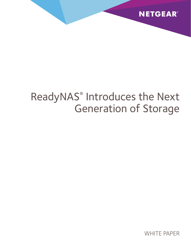

# ReadyNAS® Introduces the Next Generation of Storage

WHITE PAPER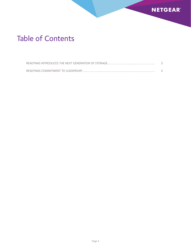

## Table of Contents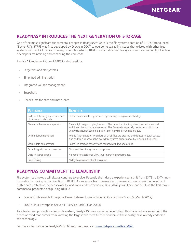### **NETGEAR**

#### <span id="page-2-0"></span>**ReadyNAS® Introduces the Next Generation of Storage**

One of the most significant fundamental changes in ReadyNAS® OS 6 is the file system adoption of BTRFS (pronounced "Butter FS"). BTRFS was first developed by Oracle in 2007 to overcome scalability issues that existed with other files systems such as EXT. Similar to many other file systems, BTRFS is a GPL-licensed file system with a community of active developers maintaining and enhancing the core code.

ReadyNAS implementation of BTRFS is designed for:

- • Large files and file systems
- Simplified administration
- Integrated volume management
- Snapshots
- Checksums for data and meta-data

| <b>FEATURES</b>                                             | <b>BENEFITS</b>                                                                                                                                                                                                                                       |
|-------------------------------------------------------------|-------------------------------------------------------------------------------------------------------------------------------------------------------------------------------------------------------------------------------------------------------|
| Built-in data integrity: checksums<br>of data and meta-data | Detects data and file system corruption, improving overall stability.                                                                                                                                                                                 |
| File and sub volume snapshots                               | Create lightweight copies/clones of files or entire directory structures with minimal<br>additional disk space requirements. This feature is especially useful in combination<br>with virtualization technologies for storing virtual machine images. |
| Online defragmentation                                      | Avoids fragmentation when lots of small files are created and deleted in quick succes-<br>sion and thus improves the overall file system performance by reducing disk seeks.                                                                          |
| Online data compression                                     | Improved storage capacity and reduced disk I/O operations.                                                                                                                                                                                            |
| Scrubbing with error correction                             | Finds and fixes file system corruptions.                                                                                                                                                                                                              |
| Built-in storage pools                                      | No need for additional LVM, thus improving performance.                                                                                                                                                                                               |
| Provisioning                                                | Ability to grow and shrink a volume.                                                                                                                                                                                                                  |

#### <span id="page-2-1"></span>**ReadyNAS Commitment to Leadership**

File system technology will always continue to evolve. Recently the industry experienced a shift from EXT3 to EXT4; now innovation is moving in the direction of BTRFS. As we move from generation to generation, users gain the benefits of better data protection, higher scalability, and improved performance. ReadyNAS joins Oracle and SUSE as the first major commercial products to ship using BTRFS:

- Oracle's Unbreakable Enterprise Kernel Release 2 was included in Oracle Linux 5 and 6 (March 2012)
- • SUSE's Linux Enterprise Server 11 Service Pack 2 (Jan 2013)

As a tested and production-ready file system, ReadyNAS users can now benefit from this major advancement with the peace of mind that comes from knowing the largest and most trusted vendors in the industry have already endorsed the technology.

For more information on ReadyNAS OS 6's new features, visit <www.netgear.com/ReadyNAS>